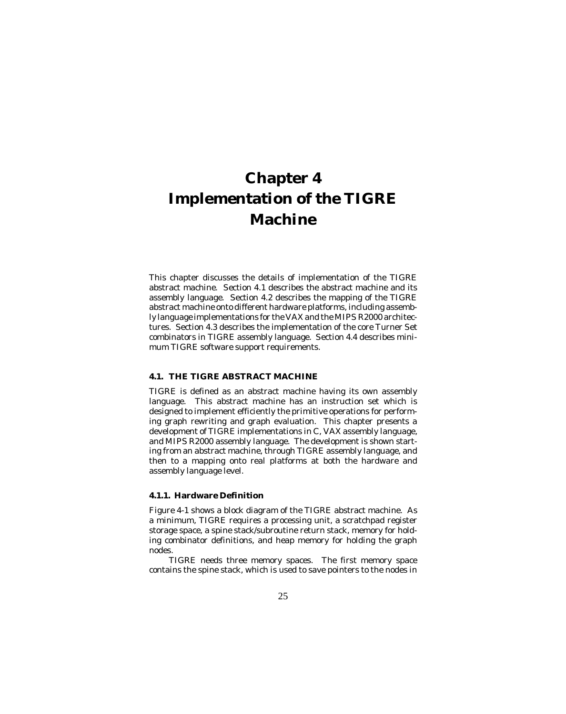This chapter discusses the details of implementation of the TIGRE abstract machine. Section 4.1 describes the abstract machine and its assembly language. Section 4.2 describes the mapping of the TIGRE abstract machine onto different hardware platforms, including assembly language implementations for the VAX and the MIPS R2000 architectures. Section 4.3 describes the implementation of the core Turner Set combinators in TIGRE assembly language. Section 4.4 describes minimum TIGRE software support requirements.

# **4.1. THE TIGRE ABSTRACT MACHINE**

TIGRE is defined as an abstract machine having its own assembly language. This abstract machine has an instruction set which is designed to implement efficiently the primitive operations for performing graph rewriting and graph evaluation. This chapter presents a development of TIGRE implementations in C, VAX assembly language, and MIPS R2000 assembly language. The development is shown starting from an abstract machine, through TIGRE assembly language, and then to a mapping onto real platforms at both the hardware and assembly language level.

# **4.1.1. Hardware Definition**

Figure 4-1 shows a block diagram of the TIGRE abstract machine. As a minimum, TIGRE requires a processing unit, a scratchpad register storage space, a spine stack/subroutine return stack, memory for holding combinator definitions, and heap memory for holding the graph nodes.

TIGRE needs three memory spaces. The first memory space contains the spine stack, which is used to save pointers to the nodes in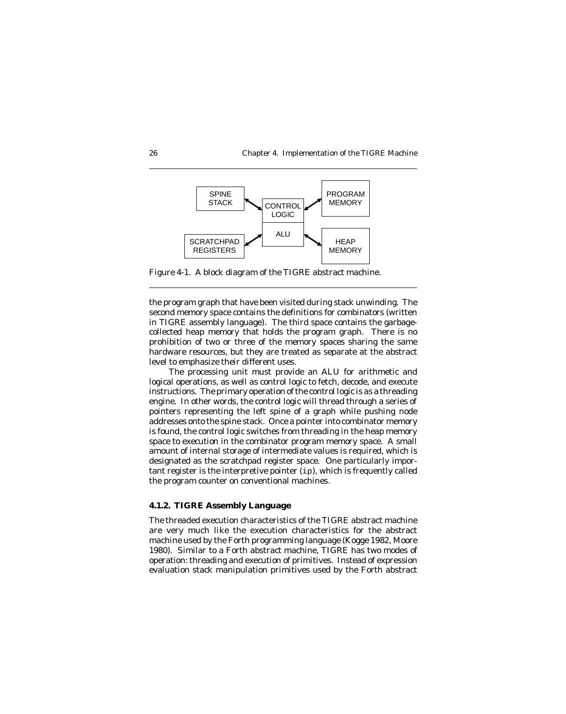



Figure 4-1. A block diagram of the TIGRE abstract machine.

the program graph that have been visited during stack unwinding. The second memory space contains the definitions for combinators (written in TIGRE assembly language). The third space contains the garbagecollected heap memory that holds the program graph. There is no prohibition of two or three of the memory spaces sharing the same hardware resources, but they are treated as separate at the abstract level to emphasize their different uses.

The processing unit must provide an ALU for arithmetic and logical operations, as well as control logic to fetch, decode, and execute instructions. The primary operation of the control logic is as a threading engine. In other words, the control logic will thread through a series of pointers representing the left spine of a graph while pushing node addresses onto the spine stack. Once a pointer into combinator memory is found, the control logic switches from threading in the heap memory space to execution in the combinator program memory space. A small amount of internal storage of intermediate values is required, which is designated as the scratchpad register space. One particularly important register is the interpretive pointer (ip), which is frequently called the program counter on conventional machines.

# **4.1.2. TIGRE Assembly Language**

The threaded execution characteristics of the TIGRE abstract machine are very much like the execution characteristics for the abstract machine used by the Forth programming language (Kogge 1982, Moore 1980). Similar to a Forth abstract machine, TIGRE has two modes of operation: threading and execution of primitives. Instead of expression evaluation stack manipulation primitives used by the Forth abstract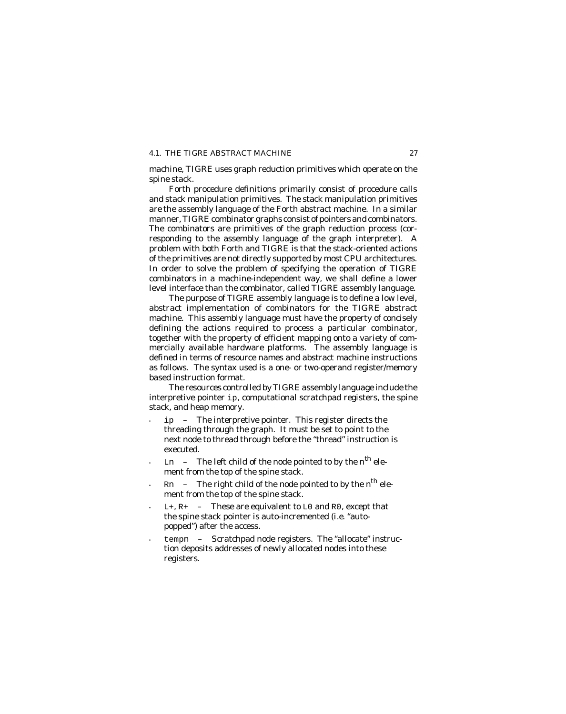# 4.1. THE TIGRE ABSTRACT MACHINE 27

machine, TIGRE uses graph reduction primitives which operate on the spine stack.

Forth procedure definitions primarily consist of procedure calls and stack manipulation primitives. The stack manipulation primitives *are* the assembly language of the Forth abstract machine. In a similar manner, TIGRE combinator graphs consist of pointers and combinators. The combinators are primitives of the graph reduction process (corresponding to the assembly language of the graph interpreter). A problem with both Forth and TIGRE is that the stack-oriented actions of the primitives are not directly supported by most CPU architectures. In order to solve the problem of specifying the operation of TIGRE combinators in a machine-independent way, we shall define a lower level interface than the combinator, called TIGRE assembly language.

The purpose of TIGRE assembly language is to define a low level, abstract implementation of combinators for the TIGRE abstract machine. This assembly language must have the property of concisely defining the actions required to process a particular combinator, together with the property of efficient mapping onto a variety of commercially available hardware platforms. The assembly language is defined in terms of resource names and abstract machine instructions as follows. The syntax used is a one- or two-operand register/memory based instruction format.

The resources controlled by TIGRE assembly language include the interpretive pointer ip, computational scratchpad registers, the spine stack, and heap memory.

- ip The interpretive pointer. This register directs the threading through the graph. It must be set to point to the next node to thread through before the "thread" instruction is executed.
- $\mathbb{L}n$  The left child of the node pointed to by the  $n^{\text{th}}$  element from the top of the spine stack.
- R*n* The right child of the node pointed to by the *n*th element from the top of the spine stack.
- $L+, R+$  These are equivalent to  $L0$  and R0, except that the spine stack pointer is auto-incremented (*i.e.* "autopopped") after the access.
- temp*n* Scratchpad node registers. The "allocate" instruction deposits addresses of newly allocated nodes into these registers.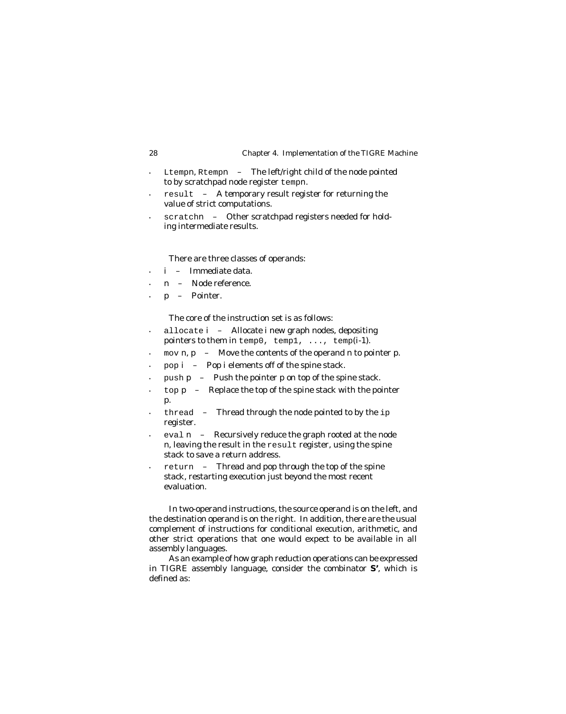- Ltemp*n*, Rtemp*n* The left/right child of the node pointed to by scratchpad node register temp*n*.
- result A temporary result register for returning the value of strict computations.
- scratchn Other scratchpad registers needed for holding intermediate results.

There are three classes of operands:

- *i* Immediate data.
- *n* Node reference.
- *p* Pointer.

The core of the instruction set is as follows:

- allocate *i* Allocate *i* new graph nodes, depositing pointers to them in temp0, temp1, ..., temp*(i-1)*.
- mov *n*,  $p$  Move the contents of the operand *n* to pointer *p*.
- pop *i* Pop *i* elements off of the spine stack.
- push  $p -$  Push the pointer  $p$  on top of the spine stack.
- $\text{top } p$  Replace the top of the spine stack with the pointer *p*.
- thread Thread through the node pointed to by the ip register.
- eval *n* Recursively reduce the graph rooted at the node *n*, leaving the result in the result register, using the spine stack to save a return address.
- return Thread and pop through the top of the spine stack, restarting execution just beyond the most recent evaluation.

In two-operand instructions, the source operand is on the left, and the destination operand is on the right. In addition, there are the usual complement of instructions for conditional execution, arithmetic, and other strict operations that one would expect to be available in all assembly languages.

As an example of how graph reduction operations can be expressed in TIGRE assembly language, consider the combinator **S'**, which is defined as: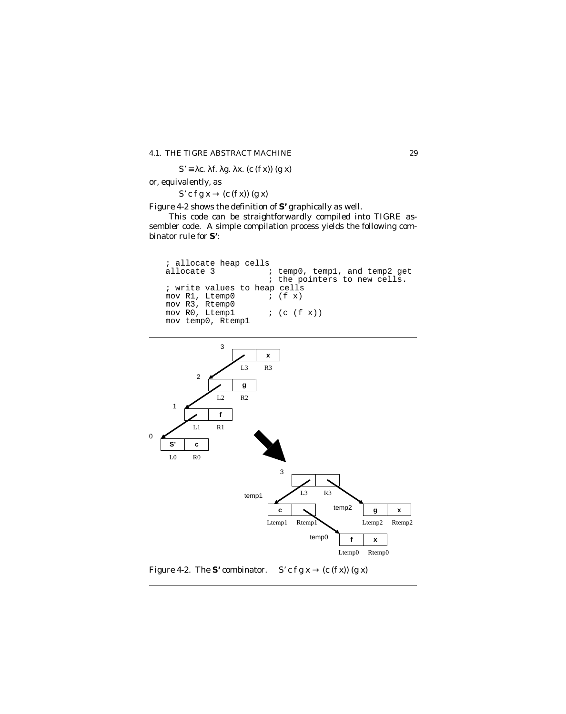# 4.1. THE TIGRE ABSTRACT MACHINE 29

S'  $\equiv$  λc. λf. λg. λx. (c (f x)) (g x)

or, equivalently, as

S' c f g  $x \rightarrow (c$  (f x)) (g x)

Figure 4-2 shows the definition of **S'** graphically as well.

This code can be straightforwardly compiled into TIGRE assembler code. A simple compilation process yields the following combinator rule for **S'**:

```
; allocate heap cells
allocate 3 \qquad \qquad ; temp0, temp1, and temp2 get
                     ; the pointers to new cells.
; write values to heap cells
mov R1, Ltemp0 ; (f x)
mov R3, Rtemp0
mov R0, Ltemp1 ; (c (f x))
mov temp0, Rtemp1
```


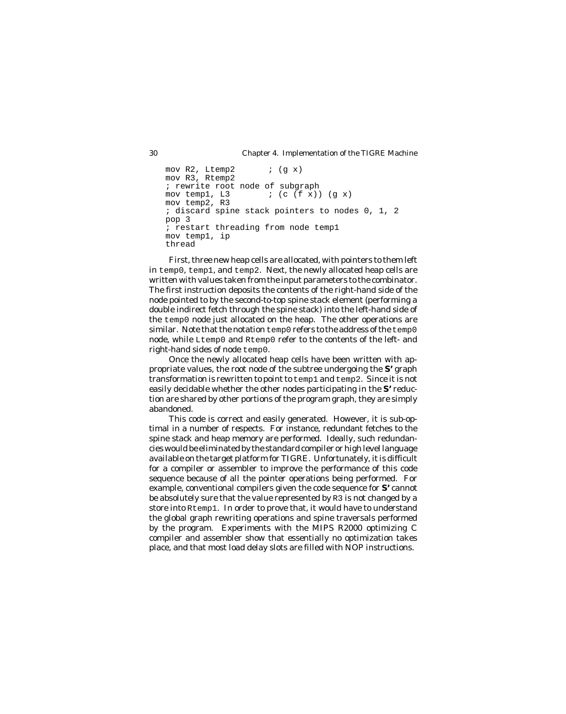```
mov R2, Ltemp2 ; (g x)
mov R3, Rtemp2
; rewrite root node of subgraph
mov temp1, L3 ; ; ( c (f x)) (g x)mov temp2, R3
; discard spine stack pointers to nodes 0, 1, 2
pop 3
; restart threading from node temp1
mov temp1, ip
thread
```
First, three new heap cells are allocated, with pointers to them left in temp0, temp1, and temp2. Next, the newly allocated heap cells are written with values taken from the input parameters to the combinator. The first instruction deposits the contents of the right-hand side of the node pointed to by the second-to-top spine stack element (performing a double indirect fetch through the spine stack) into the left-hand side of the temp0 node just allocated on the heap. The other operations are similar. Note that the notation temp0 refers to the address of the temp0 node, while Ltemp0 and Rtemp0 refer to the contents of the left- and right-hand sides of node temp0.

Once the newly allocated heap cells have been written with appropriate values, the root node of the subtree undergoing the **S'** graph transformation is rewritten to point to temp1 and temp2. Since it is not easily decidable whether the other nodes participating in the **S'** reduction are shared by other portions of the program graph, they are simply abandoned.

This code is correct and easily generated. However, it is sub-optimal in a number of respects. For instance, redundant fetches to the spine stack and heap memory are performed. Ideally, such redundancies would be eliminated by the standard compiler or high level language available on the target platform for TIGRE. Unfortunately, it is difficult for a compiler or assembler to improve the performance of this code sequence because of all the pointer operations being performed. For example, conventional compilers given the code sequence for **S'** cannot be absolutely sure that the value represented by R3 is not changed by a store into Rtemp1. In order to prove that, it would have to understand the global graph rewriting operations and spine traversals performed by the program. Experiments with the MIPS R2000 optimizing C compiler and assembler show that essentially no optimization takes place, and that most load delay slots are filled with NOP instructions.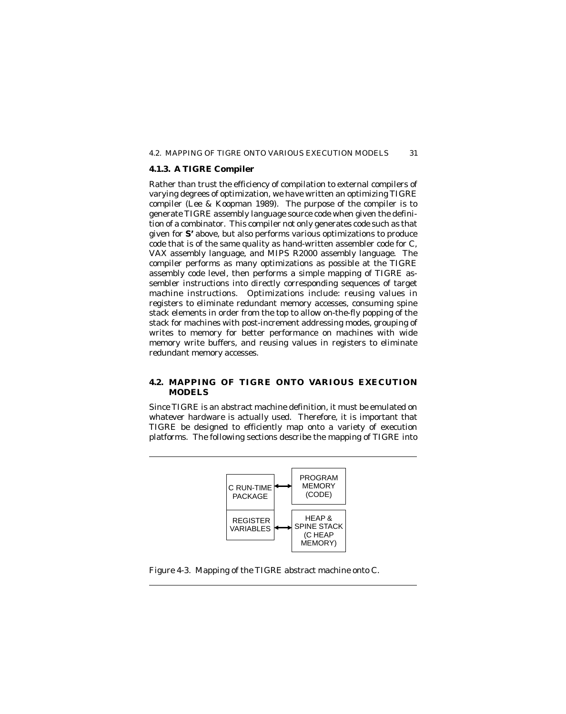# 4.2. MAPPING OF TIGRE ONTO VARIOUS EXECUTION MODELS 31

# **4.1.3. A TIGRE Compiler**

Rather than trust the efficiency of compilation to external compilers of varying degrees of optimization, we have written an optimizing TIGRE compiler (Lee & Koopman 1989). The purpose of the compiler is to generate TIGRE assembly language source code when given the definition of a combinator. This compiler not only generates code such as that given for **S'** above, but also performs various optimizations to produce code that is of the same quality as hand-written assembler code for C, VAX assembly language, and MIPS R2000 assembly language. The compiler performs as many optimizations as possible at the TIGRE assembly code level, then performs a simple mapping of TIGRE assembler instructions into directly corresponding sequences of target machine instructions. Optimizations include: reusing values in registers to eliminate redundant memory accesses, consuming spine stack elements in order from the top to allow on-the-fly popping of the stack for machines with post-increment addressing modes, grouping of writes to memory for better performance on machines with wide memory write buffers, and reusing values in registers to eliminate redundant memory accesses.

# **4.2. MAPPING OF TIGRE ONTO VARIOUS EXECUTION MODELS**

Since TIGRE is an abstract machine definition, it must be emulated on whatever hardware is actually used. Therefore, it is important that TIGRE be designed to efficiently map onto a variety of execution platforms. The following sections describe the mapping of TIGRE into



Figure 4-3. Mapping of the TIGRE abstract machine onto C.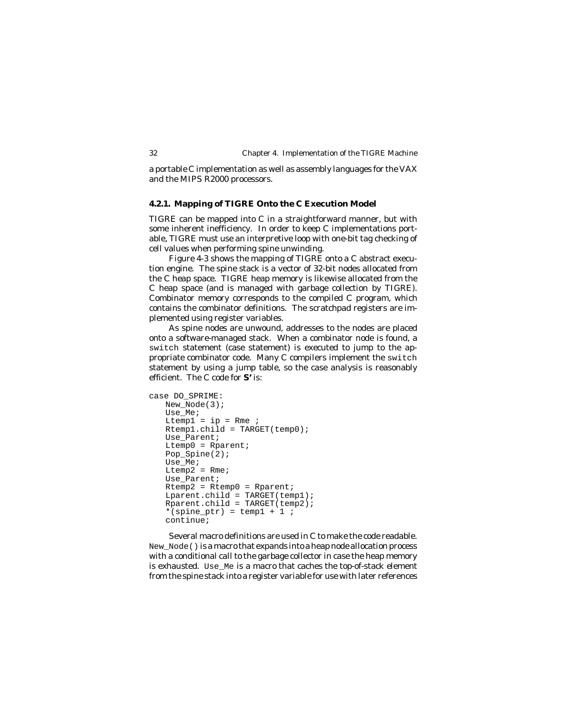a portable C implementation as well as assembly languages for the VAX and the MIPS R2000 processors.

#### **4.2.1. Mapping of TIGRE Onto the C Execution Model**

TIGRE can be mapped into C in a straightforward manner, but with some inherent inefficiency. In order to keep C implementations portable, TIGRE must use an interpretive loop with one-bit tag checking of cell values when performing spine unwinding.

Figure 4-3 shows the mapping of TIGRE onto a C abstract execution engine. The spine stack is a vector of 32-bit nodes allocated from the C heap space. TIGRE heap memory is likewise allocated from the C heap space (and is managed with garbage collection by TIGRE). Combinator memory corresponds to the compiled C program, which contains the combinator definitions. The scratchpad registers are implemented using register variables.

As spine nodes are unwound, addresses to the nodes are placed onto a software-managed stack. When a combinator node is found, a switch statement (case statement) is executed to jump to the appropriate combinator code. Many C compilers implement the switch statement by using a jump table, so the case analysis is reasonably efficient. The C code for **S'** is:

```
case DO_SPRIME:
   New Node(3);
   Use_Me;
   Ltemp1 = ip = Rme;
   Rtemp1.child = TARGET(temp0);
   Use_Parent;
   Ltemp0 = Rparent;Pop_Spine(2);
   Use Me;
   Ltemp2 = Rme;Use Parent;
   Rtemp2 = Rtemp0 = Rparent;
   Lparent.cchild = TARGET(temp1);Rparent.cchild = TARGET(temp2);*(spine_ptr) = temp1 + 1 ;
   continue;
```
Several macro definitions are used in C to make the code readable. New\_Node() is a macro that expands into a heap node allocation process with a conditional call to the garbage collector in case the heap memory is exhausted. Use\_Me is a macro that caches the top-of-stack element from the spine stack into a register variable for use with later references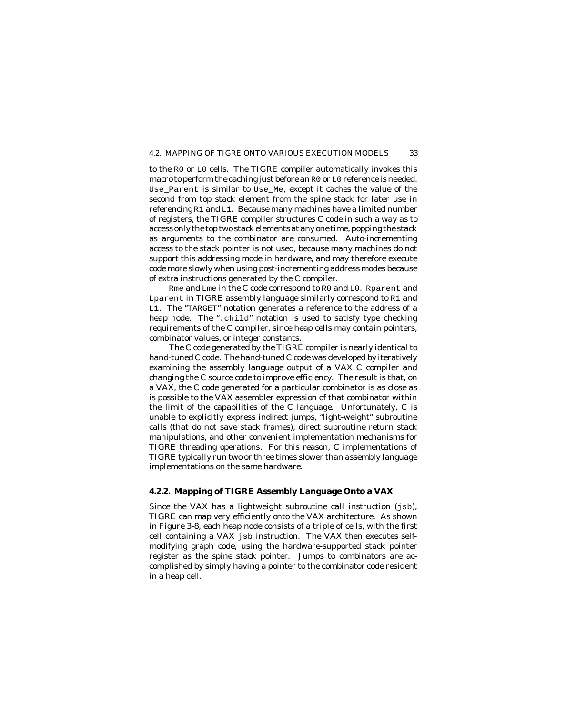# 4.2. MAPPING OF TIGRE ONTO VARIOUS EXECUTION MODELS 33

to the R0 or L0 cells. The TIGRE compiler automatically invokes this macro to perform the caching just before an R0 or L0 reference is needed. Use Parent is similar to Use Me, except it caches the value of the second from top stack element from the spine stack for later use in referencing R1 and L1. Because many machines have a limited number of registers, the TIGRE compiler structures C code in such a way as to access only the top two stack elements at any one time, popping the stack as arguments to the combinator are consumed. Auto-incrementing access to the stack pointer is not used, because many machines do not support this addressing mode in hardware, and may therefore execute code more slowly when using post-incrementing address modes because of extra instructions generated by the C compiler.

Rme and Lme in the C code correspond to R0 and L0. Rparent and Lparent in TIGRE assembly language similarly correspond to R1 and L1. The "TARGET" notation generates a reference to the address of a heap node. The ".child" notation is used to satisfy type checking requirements of the C compiler, since heap cells may contain pointers, combinator values, or integer constants.

The C code generated by the TIGRE compiler is nearly identical to hand-tuned C code. The hand-tuned C code was developed by iteratively examining the assembly language output of a VAX C compiler and changing the C source code to improve efficiency. The result is that, on a VAX, the C code generated for a particular combinator is as close as is possible to the VAX assembler expression of that combinator within the limit of the capabilities of the C language. Unfortunately, C is unable to explicitly express indirect jumps, "light-weight" subroutine calls (that do not save stack frames), direct subroutine return stack manipulations, and other convenient implementation mechanisms for TIGRE threading operations. For this reason, C implementations of TIGRE typically run two or three times slower than assembly language implementations on the same hardware.

# **4.2.2. Mapping of TIGRE Assembly Language Onto a VAX**

Since the VAX has a lightweight subroutine call instruction  $(jsb)$ , TIGRE can map very efficiently onto the VAX architecture. As shown in Figure 3-8, each heap node consists of a triple of cells, with the first cell containing a VAX jsb instruction. The VAX then executes selfmodifying graph code, using the hardware-supported stack pointer register as the spine stack pointer. Jumps to combinators are accomplished by simply having a pointer to the combinator code resident in a heap cell.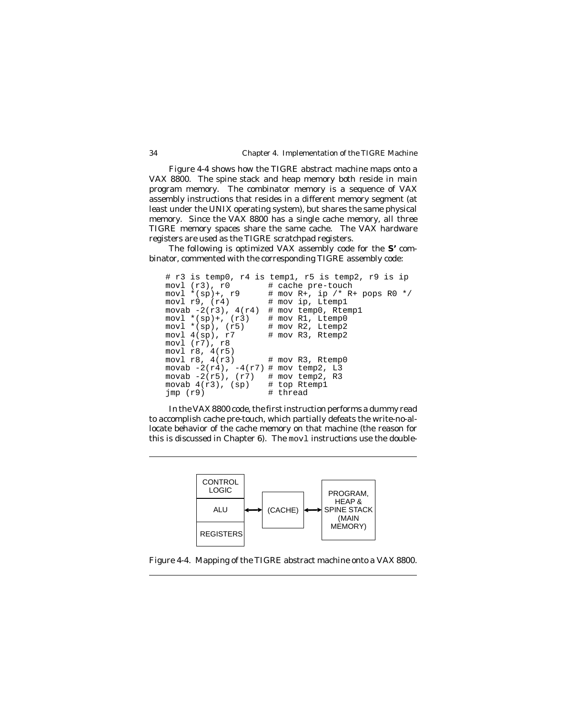Figure 4-4 shows how the TIGRE abstract machine maps onto a VAX 8800. The spine stack and heap memory both reside in main program memory. The combinator memory is a sequence of VAX assembly instructions that resides in a different memory segment (at least under the UNIX operating system), but shares the same physical memory. Since the VAX 8800 has a single cache memory, all three TIGRE memory spaces share the same cache. The VAX hardware registers are used as the TIGRE scratchpad registers.

The following is optimized VAX assembly code for the **S'** combinator, commented with the corresponding TIGRE assembly code:

```
# r3 is temp0, r4 is temp1, r5 is temp2, r9 is ip
movl (r3), r0 # cache pre-touch<br>movl *(sp)+, r9 # mov R+, ip / R-
movl *(sp)+, r9 # mov R+, ip /* R+ pops R0 */<br>movl r9, (r4) # mov ip, Ltemp1
                                # mov ip, Ltemp1<br># mov temp0, Rtemp1
movab -2(r3), 4(r4)movl *(sp) +, (r3) # mov R1, Ltemp0<br>movl *(sp), (r5) # mov R2, Ltemp2
movl *(sp), (r5)<br>movl 4(sp), r7
                                # mov R3, Rtemp2
movl (r7), r8
movl r8, 4(r5)<br>movl r8, 4(r3)# mov R3, Rtemp0
movab -2(r4), -4(r7) # mov temp2, L3<br>movab -2(r5), (r7) # mov temp2, R3
movab -2(r5), (r7)movab 4(r3), (sp) # top Rtempl<br>
\text{imp} (r9) # thread
jmp (r9)
```
In the VAX 8800 code, the first instruction performs a dummy read to accomplish cache pre-touch, which partially defeats the write-no-allocate behavior of the cache memory on that machine (the reason for this is discussed in Chapter 6). The mov1 instructions use the double-



Figure 4-4. Mapping of the TIGRE abstract machine onto a VAX 8800.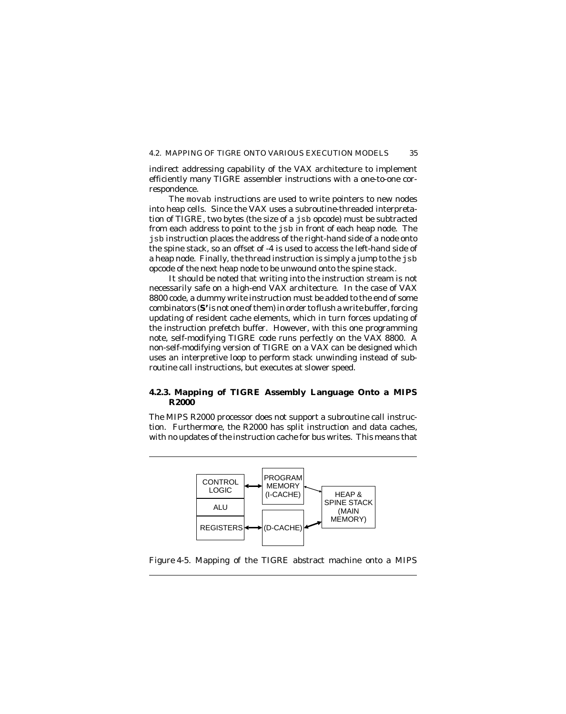#### 4.2. MAPPING OF TIGRE ONTO VARIOUS EXECUTION MODELS 35

indirect addressing capability of the VAX architecture to implement efficiently many TIGRE assembler instructions with a one-to-one correspondence.

The movab instructions are used to write pointers to new nodes into heap cells. Since the VAX uses a subroutine-threaded interpretation of TIGRE, two bytes (the size of a jsb opcode) must be subtracted from each address to point to the jsb in front of each heap node. The jsb instruction places the address of the right-hand side of a node onto the spine stack, so an offset of -4 is used to access the left-hand side of a heap node. Finally, the thread instruction is simply a jump to the jsb opcode of the next heap node to be unwound onto the spine stack.

It should be noted that writing into the instruction stream is not necessarily safe on a high-end VAX architecture. In the case of VAX 8800 code, a dummy write instruction must be added to the end of some combinators (**S'** is not one of them) in order to flush a write buffer, forcing updating of resident cache elements, which in turn forces updating of the instruction prefetch buffer. However, with this one programming note, self-modifying TIGRE code runs perfectly on the VAX 8800. A non-self-modifying version of TIGRE on a VAX can be designed which uses an interpretive loop to perform stack unwinding instead of subroutine call instructions, but executes at slower speed.

# **4.2.3. Mapping of TIGRE Assembly Language Onto a MIPS R2000**

The MIPS R2000 processor does not support a subroutine call instruction. Furthermore, the R2000 has split instruction and data caches, with no updates of the instruction cache for bus writes. This means that



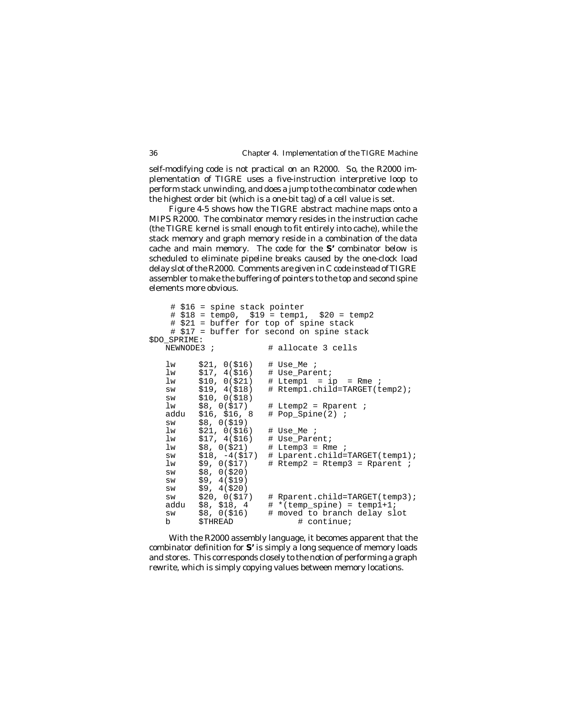self-modifying code is not practical on an R2000. So, the R2000 implementation of TIGRE uses a five-instruction interpretive loop to perform stack unwinding, and does a jump to the combinator code when the highest order bit (which is a one-bit tag) of a cell value is set.

Figure 4-5 shows how the TIGRE abstract machine maps onto a MIPS R2000. The combinator memory resides in the instruction cache (the TIGRE kernel is small enough to fit entirely into cache), while the stack memory and graph memory reside in a combination of the data cache and main memory. The code for the **S'** combinator below is scheduled to eliminate pipeline breaks caused by the one-clock load delay slot of the R2000. Comments are given in C code instead of TIGRE assembler to make the buffering of pointers to the top and second spine elements more obvious.

```
 # $16 = spine stack pointer
       # $18 = temp0, $19 = temp1, $20 = temp2
       # $21 = buffer for top of spine stack
       # $17 = buffer for second on spine stack
$DO_SPRIME:<br>NEWNODE3;
                                    # allocate 3 cells
     1w $21, 0($16) # Use_Me ;<br>1w $17, 4($16) # Use_Pare<br>1w $10, 0($21) # Ltemp1
     lw $17, 4($16) # Use_Parent;
                                    \# Ltemp1 = ip = Rme ;
     sw $19, 4($18) # Rtemp1.child=TARGET(temp2);
    sw $10, 0($18)<br>lw $8, 0($17)
    lw $8, 0 ($17) # Ltemp2 = Rparent ;<br>addu $16, $16, 8 # Pop Spine(2) ;
                                    # Pop Spin(2) ;
     sw $8, 0($19)<br>lw $21, 0($16
     1w $21, 0($16) # Use_Me ;<br>1w $17, 4($16) # Use_Pare
                                    # Use_Parent;
     lw $8, 0($21) # Ltemp3 = Rme ;
     sw $18, -4($17) # Lparent.child=TARGET(temp1);
     \frac{1}{9}, 0($17) # Rtemp2 = Rtemp3 = Rparent ;
     \begin{array}{lll} sw & & \frac{58}{60}, & 0(\frac{520}{60}) \\ sw & & \frac{59}{60}, & \frac{4(519)}{60} \end{array}$9, 4(519)\begin{array}{lll} sw & \dot{\$9}, & 4(\dot{\$20}) \\ sw & \dot{\$20}, & 0(\dot{\$17}) \end{array}sw $20, 0($17) # Rparent.child=TARGET(temp3);<br>addu $8, $18, 4 # *(temp_spine) = temp1+1;<br>sw $8, 0($16) # moved to branch delay slot
     addu $8, $18, 4 * (temp_spine) = templ+1;<br>sw $8, 0($16) # moved to branch delay sl
                                    # moved to branch delay slot
    b $THREAD # continue;
```
With the R2000 assembly language, it becomes apparent that the combinator definition for **S'** is simply a long sequence of memory loads and stores. This corresponds closely to the notion of performing a graph rewrite, which is simply copying values between memory locations.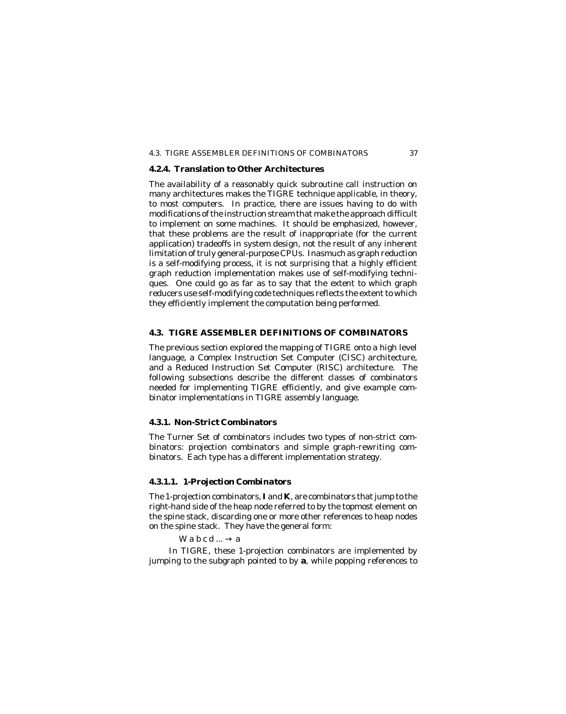# **4.2.4. Translation to Other Architectures**

The availability of a reasonably quick subroutine call instruction on many architectures makes the TIGRE technique applicable, in theory, to most computers. In practice, there are issues having to do with modifications of the instruction stream that make the approach difficult to implement on some machines. It should be emphasized, however, that these problems are the result of inappropriate (for the current application) tradeoffs in system design, not the result of any inherent limitation of truly general-purpose CPUs. Inasmuch as graph reduction is a self-modifying process, it is not surprising that a highly efficient graph reduction implementation makes use of self-modifying techniques. One could go as far as to say that the extent to which graph reducers use self-modifying code techniques reflects the extent to which they efficiently implement the computation being performed.

# **4.3. TIGRE ASSEMBLER DEFINITIONS OF COMBINATORS**

The previous section explored the mapping of TIGRE onto a high level language, a Complex Instruction Set Computer (CISC) architecture, and a Reduced Instruction Set Computer (RISC) architecture. The following subsections describe the different classes of combinators needed for implementing TIGRE efficiently, and give example combinator implementations in TIGRE assembly language.

# **4.3.1. Non-Strict Combinators**

The Turner Set of combinators includes two types of non-strict combinators: projection combinators and simple graph-rewriting combinators. Each type has a different implementation strategy.

# *4.3.1.1. 1-Projection Combinators*

The 1-projection combinators, **I** and **K**, are combinators that jump to the right-hand side of the heap node referred to by the topmost element on the spine stack, discarding one or more other references to heap nodes on the spine stack. They have the general form:

W a b c d  $\ldots \rightarrow a$ 

In TIGRE, these 1-projection combinators are implemented by jumping to the subgraph pointed to by **a**, while popping references to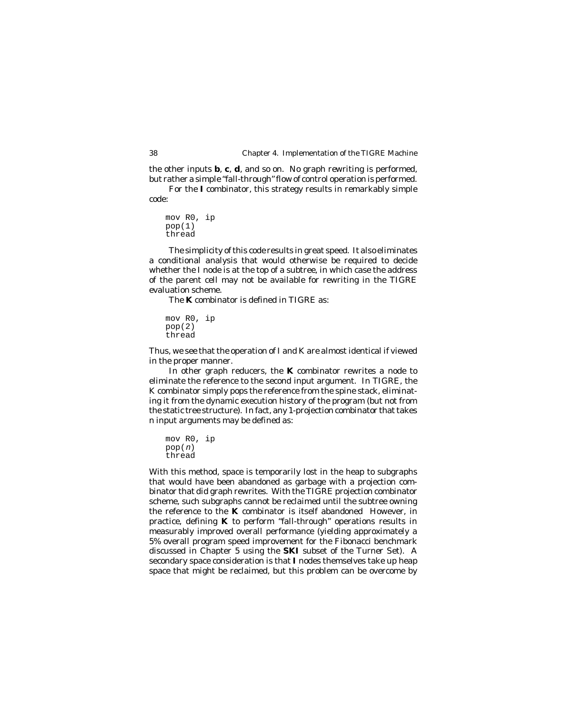the other inputs **b**, **c**, **d**, and so on. No graph rewriting is performed, but rather a simple "fall-through" flow of control operation is performed.

For the **I** combinator, this strategy results in remarkably simple code:

```
mov R0, ip
pop(1)
thread
```
The simplicity of this code results in great speed. It also eliminates a conditional analysis that would otherwise be required to decide whether the I node is at the top of a subtree, in which case the address of the parent cell may not be available for rewriting in the TIGRE evaluation scheme.

The **K** combinator is defined in TIGRE as:

```
mov R0, ip
pop(2)
thread
```
Thus, we see that the operation of I and K are almost identical if viewed in the proper manner.

In other graph reducers, the **K** combinator rewrites a node to eliminate the reference to the second input argument. In TIGRE, the K combinator simply pops the reference from the spine stack, eliminating it from the dynamic execution history of the program (but not from the static tree structure). In fact, any 1-projection combinator that takes *n* input arguments may be defined as:

```
mov R0, ip
pop(n)
thread
```
With this method, space is temporarily lost in the heap to subgraphs that would have been abandoned as garbage with a projection combinator that did graph rewrites. With the TIGRE projection combinator scheme, such subgraphs cannot be reclaimed until the subtree owning the reference to the **K** combinator is itself abandoned However, in practice, defining **K** to perform "fall-through" operations results in measurably improved overall performance (yielding approximately a 5% overall program speed improvement for the Fibonacci benchmark discussed in Chapter 5 using the **SKI** subset of the Turner Set). A secondary space consideration is that **I** nodes themselves take up heap space that might be reclaimed, but this problem can be overcome by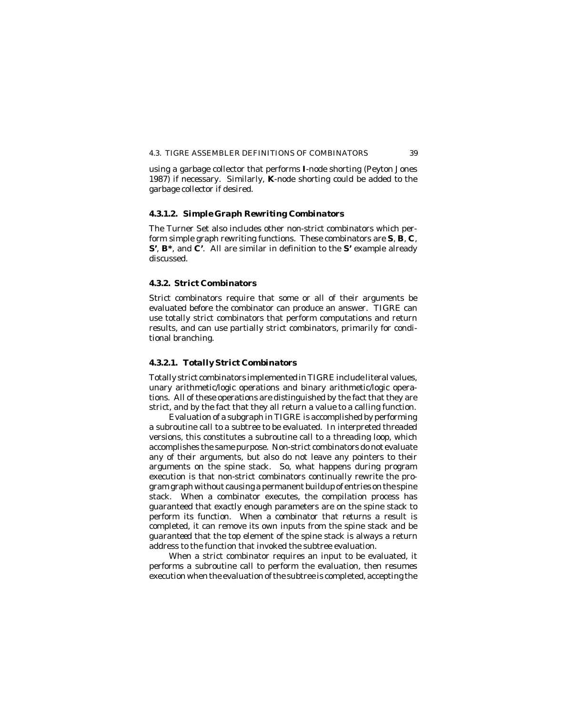using a garbage collector that performs **I**-node shorting (Peyton Jones 1987) if necessary. Similarly, **K**-node shorting could be added to the garbage collector if desired.

# *4.3.1.2. Simple Graph Rewriting Combinators*

The Turner Set also includes other non-strict combinators which perform simple graph rewriting functions. These combinators are **S**, **B**, **C**, **S'**, **B\***, and **C'**. All are similar in definition to the **S'** example already discussed.

# **4.3.2. Strict Combinators**

Strict combinators require that some or all of their arguments be evaluated before the combinator can produce an answer. TIGRE can use totally strict combinators that perform computations and return results, and can use partially strict combinators, primarily for conditional branching.

# *4.3.2.1. Totally Strict Combinators*

Totally strict combinators implemented in TIGRE include literal values, unary arithmetic/logic operations and binary arithmetic/logic operations. All of these operations are distinguished by the fact that they are strict, and by the fact that they all return a value to a calling function.

Evaluation of a subgraph in TIGRE is accomplished by performing a subroutine call to a subtree to be evaluated. In interpreted threaded versions, this constitutes a subroutine call to a threading loop, which accomplishes the same purpose. Non-strict combinators do not evaluate any of their arguments, but also do not leave any pointers to their arguments on the spine stack. So, what happens during program execution is that non-strict combinators continually rewrite the program graph without causing a permanent buildup of entries on the spine stack. When a combinator executes, the compilation process has guaranteed that exactly enough parameters are on the spine stack to perform its function. When a combinator that returns a result is completed, it can remove its own inputs from the spine stack and be *guaranteed* that the top element of the spine stack is always a return address to the function that invoked the subtree evaluation.

When a strict combinator requires an input to be evaluated, it performs a subroutine call to perform the evaluation, then resumes execution when the evaluation of the subtree is completed, accepting the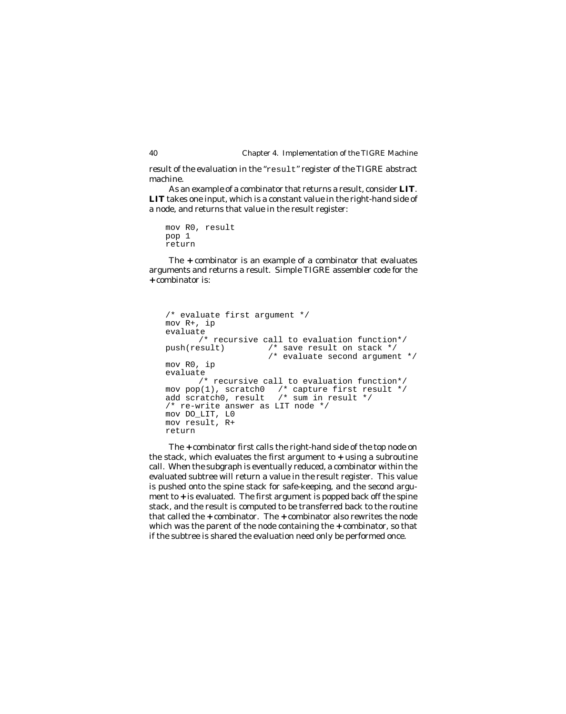result of the evaluation in the "result" register of the TIGRE abstract machine.

As an example of a combinator that returns a result, consider **LIT**. **LIT** takes one input, which is a constant value in the right-hand side of a node, and returns that value in the result register:

```
mov R0, result
pop 1
return
```
The **+** combinator is an example of a combinator that evaluates arguments and returns a result. Simple TIGRE assembler code for the **+** combinator is:

```
/* evaluate first argument */
mov R+, ip
evaluate 
/* recursive call to evaluation function*/<br>push(result) \rightarrow * save result on stack */
                           /* save result on stack *//* evaluate second argument */
mov R0, ip
evaluate 
/* recursive call to evaluation function*/<br>mov pop(1), scratch0 /* capture first result */
                             /* capture first result */<br>/* sum in result */
add scratch0, result
/* re-write answer as LIT node */
mov DO_LIT, L0
mov result, R+
return
```
The **+** combinator first calls the right-hand side of the top node on the stack, which evaluates the first argument to **+** using a subroutine call. When the subgraph is eventually reduced, a combinator within the evaluated subtree will return a value in the result register. This value is pushed onto the spine stack for safe-keeping, and the second argument to **+** is evaluated. The first argument is popped back off the spine stack, and the result is computed to be transferred back to the routine that called the **+** combinator. The **+** combinator also rewrites the node which was the parent of the node containing the **+** combinator, so that if the subtree is shared the evaluation need only be performed once.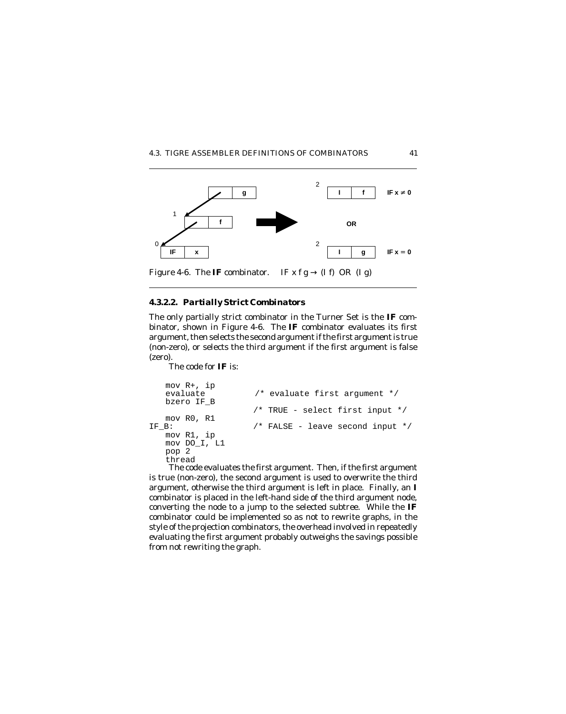

Figure 4-6. The **IF** combinator. IF  $x f g \rightarrow (I f)$  OR (I g)

# *4.3.2.2. Partially Strict Combinators*

The only partially strict combinator in the Turner Set is the **IF** combinator, shown in Figure 4-6. The **IF** combinator evaluates its first argument, then selects the second argument if the first argument is true (non-zero), or selects the third argument if the first argument is false (zero).

The code for **IF** is:

```
mov R+, ip
   evaluate /* evaluate first argument */
   bzero IF_B
                        /* TRUE - select first input */
mov R0, R1<br>IF_B:
                     /* FALSE - leave second input */
   mov R1, ip
   mov DO_I, L1
   pop 2
   thread
```
The code evaluates the first argument. Then, if the first argument is true (non-zero), the second argument is used to overwrite the third argument, otherwise the third argument is left in place. Finally, an **I** combinator is placed in the left-hand side of the third argument node, converting the node to a jump to the selected subtree. While the **IF** combinator could be implemented so as not to rewrite graphs, in the style of the projection combinators, the overhead involved in repeatedly evaluating the first argument probably outweighs the savings possible from not rewriting the graph.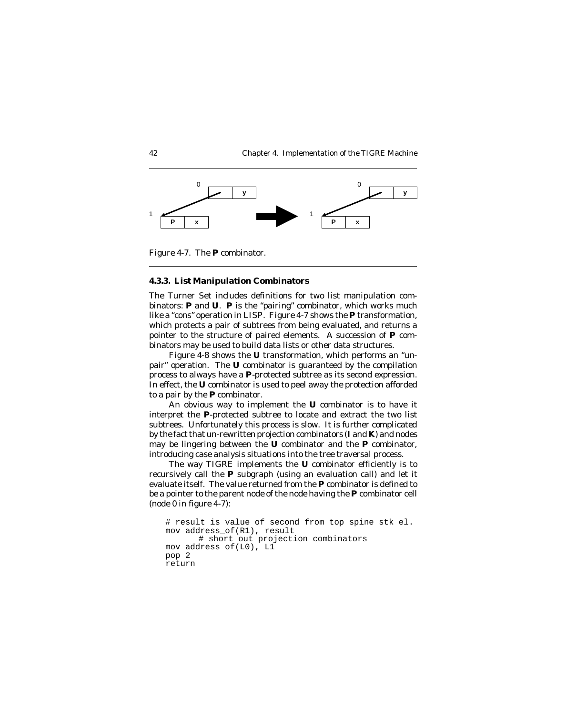

Figure 4-7. The **P** combinator.

# **4.3.3. List Manipulation Combinators**

The Turner Set includes definitions for two list manipulation combinators: **P** and **U**. **P** is the "pairing" combinator, which works much like a "cons" operation in LISP. Figure 4-7 shows the **P** transformation, which protects a pair of subtrees from being evaluated, and returns a pointer to the structure of paired elements. A succession of **P** combinators may be used to build data lists or other data structures.

Figure 4-8 shows the **U** transformation, which performs an "unpair" operation. The **U** combinator is guaranteed by the compilation process to always have a **P**-protected subtree as its second expression. In effect, the **U** combinator is used to peel away the protection afforded to a pair by the **P** combinator.

An obvious way to implement the **U** combinator is to have it interpret the **P**-protected subtree to locate and extract the two list subtrees. Unfortunately this process is slow. It is further complicated by the fact that un-rewritten projection combinators (**I** and **K**) and nodes may be lingering between the **U** combinator and the **P** combinator, introducing case analysis situations into the tree traversal process.

The way TIGRE implements the **U** combinator efficiently is to recursively call the **P** subgraph (using an evaluation call) and let it evaluate itself. The value returned from the **P** combinator is defined to be a pointer to the parent node of the node having the **P** combinator cell (node 0 in figure 4-7):

```
# result is value of second from top spine stk el.
mov address_of(R1), result
       # short out projection combinators
mov address_of(L0), L1 
pop 2
return
```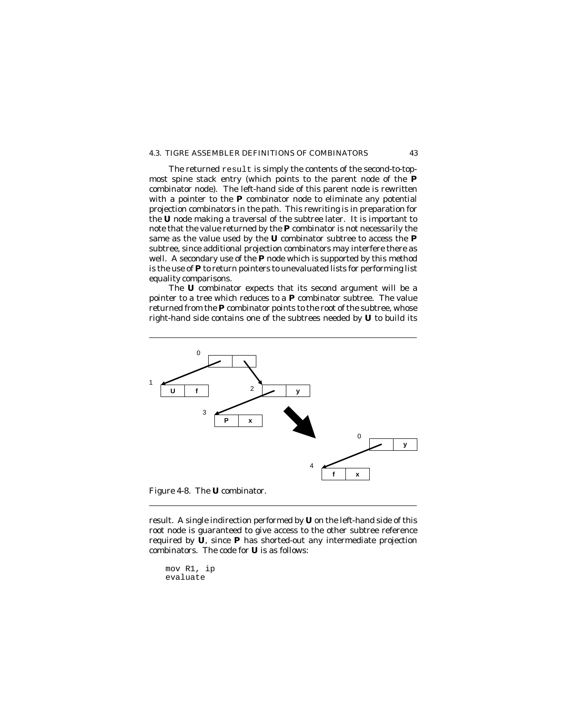The returned result is simply the contents of the second-to-topmost spine stack entry (which points to the parent node of the **P** combinator node). The left-hand side of this parent node is rewritten with a pointer to the **P** combinator node to eliminate any potential projection combinators in the path. This rewriting is in preparation for the **U** node making a traversal of the subtree later. It is important to note that the value returned by the **P** combinator is not necessarily the same as the value used by the **U** combinator subtree to access the **P** subtree, since additional projection combinators may interfere there as well. A secondary use of the **P** node which is supported by this method is the use of **P** to return pointers to unevaluated lists for performing list equality comparisons.

The **U** combinator expects that its second argument will be a pointer to a tree which reduces to a **P** combinator subtree. The value returned from the **P** combinator points to the root of the subtree, whose right-hand side contains one of the subtrees needed by **U** to build its



Figure 4-8. The **U** combinator.

result. A single indirection performed by **U** on the left-hand side of this root node is guaranteed to give access to the other subtree reference required by **U**, since **P** has shorted-out any intermediate projection combinators. The code for **U** is as follows:

```
mov R1, ip
evaluate
```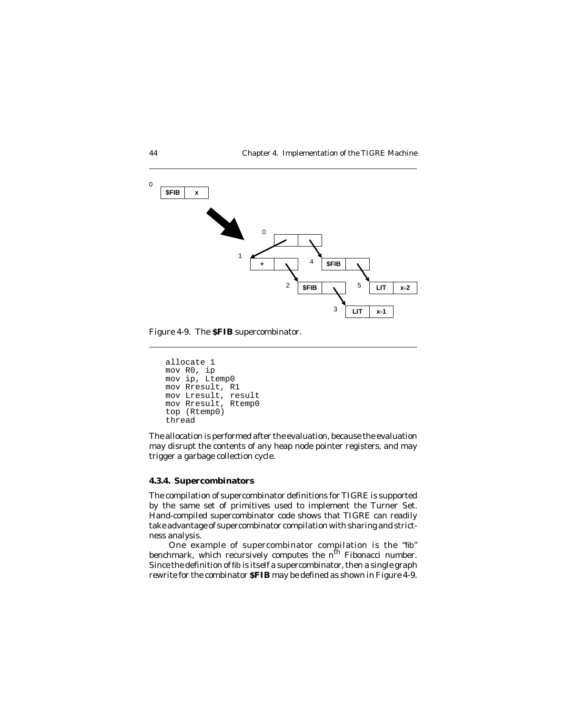44 Chapter 4. Implementation of the TIGRE Machine



Figure 4-9. The **\$FIB** supercombinator.

```
allocate 1 
mov R0, ip
mov ip, Ltemp0
mov Rresult, R1
mov Lresult, result
mov Rresult, Rtemp0
top (Rtemp0)
thread
```
The allocation is performed after the evaluation, because the evaluation may disrupt the contents of any heap node pointer registers, and may trigger a garbage collection cycle.

# **4.3.4. Supercombinators**

The compilation of supercombinator definitions for TIGRE is supported by the same set of primitives used to implement the Turner Set. Hand-compiled supercombinator code shows that TIGRE can readily take advantage of supercombinator compilation with sharing and strictness analysis.

One example of supercombinator compilation is the "fib" benchmark, which recursively computes the  $n<sup>fh</sup>$  Fibonacci number. Since the definition of fib is itself a supercombinator, then a single graph rewrite for the combinator **\$FIB** may be defined as shown in Figure 4-9.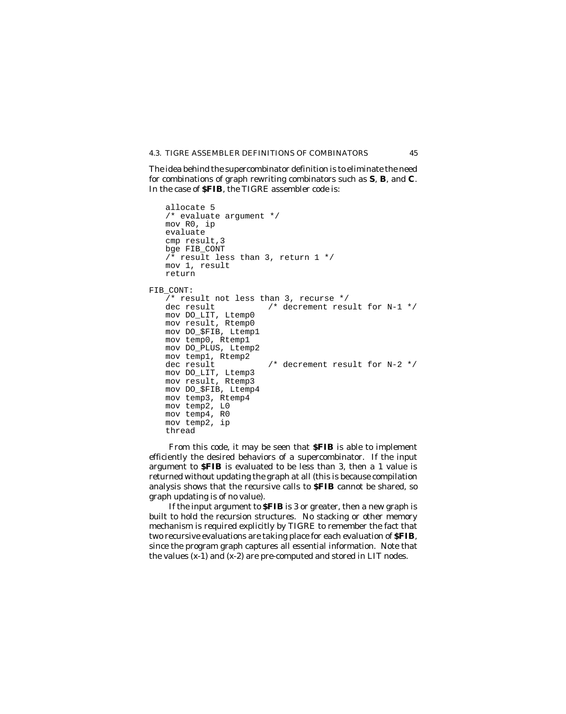The idea behind the supercombinator definition is to eliminate the need for combinations of graph rewriting combinators such as **S**, **B**, and **C**. In the case of **\$FIB**, the TIGRE assembler code is:

```
allocate 5
   /* evaluate argument */
   mov R0, ip
   evaluate
   cmp result,3
   bge FIB_CONT
   /* result less than 3, return 1 */
   mov 1, result
   return
FIB_CONT:
   /* result not less than 3, recurse */<br>dec result \rightarrow /* decrement result
                           /* decrement result for N-1 */mov DO_LIT, Ltemp0
   mov result, Rtemp0
   mov DO_$FIB, Ltemp1
   mov temp0, Rtemp1
   mov DO_PLUS, Ltemp2
   mov temp1, Rtemp2
                           /* decrement result for N-2 */
   mov DO_LIT, Ltemp3
   mov result, Rtemp3
   mov DO_$FIB, Ltemp4
   mov temp3, Rtemp4
   mov temp2, L0
   mov temp4, R0
   mov temp2, ip
   thread
```
From this code, it may be seen that **\$FIB** is able to implement efficiently the desired behaviors of a supercombinator. If the input argument to **\$FIB** is evaluated to be less than 3, then a 1 value is returned without updating the graph at all (this is because compilation analysis shows that the recursive calls to **\$FIB** cannot be shared, so graph updating is of no value).

If the input argument to **\$FIB** is 3 or greater, then a new graph is built to hold the recursion structures. No stacking or other memory mechanism is required explicitly by TIGRE to remember the fact that two recursive evaluations are taking place for each evaluation of **\$FIB**, since the program graph captures all essential information. Note that the values (x-1) and (x-2) are pre-computed and stored in LIT nodes.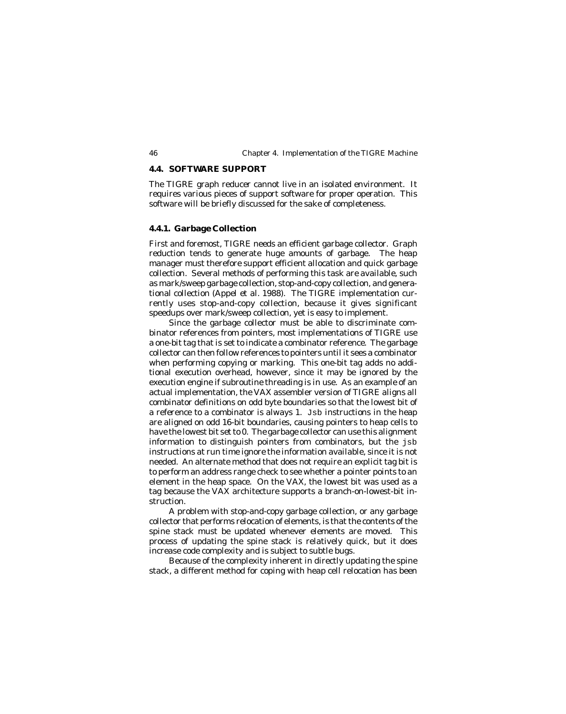# **4.4. SOFTWARE SUPPORT**

The TIGRE graph reducer cannot live in an isolated environment. It requires various pieces of support software for proper operation. This software will be briefly discussed for the sake of completeness.

# **4.4.1. Garbage Collection**

First and foremost, TIGRE needs an efficient garbage collector. Graph reduction tends to generate huge amounts of garbage. The heap manager must therefore support efficient allocation and quick garbage collection. Several methods of performing this task are available, such as mark/sweep garbage collection, stop-and-copy collection, and generational collection (Appel et al. 1988). The TIGRE implementation currently uses stop-and-copy collection, because it gives significant speedups over mark/sweep collection, yet is easy to implement.

Since the garbage collector must be able to discriminate combinator references from pointers, most implementations of TIGRE use a one-bit tag that is set to indicate a combinator reference. The garbage collector can then follow references to pointers until it sees a combinator when performing copying or marking. This one-bit tag adds no additional execution overhead, however, since it may be ignored by the execution engine if subroutine threading is in use. As an example of an actual implementation, the VAX assembler version of TIGRE aligns all combinator definitions on odd byte boundaries so that the lowest bit of a reference to a combinator is always 1. Jsb instructions in the heap are aligned on odd 16-bit boundaries, causing pointers to heap cells to have the lowest bit set to 0. The garbage collector can use this alignment information to distinguish pointers from combinators, but the jsb instructions at run time ignore the information available, since it is not needed. An alternate method that does not require an explicit tag bit is to perform an address range check to see whether a pointer points to an element in the heap space. On the VAX, the lowest bit was used as a tag because the VAX architecture supports a branch-on-lowest-bit instruction.

A problem with stop-and-copy garbage collection, or any garbage collector that performs relocation of elements, is that the contents of the spine stack must be updated whenever elements are moved. This process of updating the spine stack is relatively quick, but it does increase code complexity and is subject to subtle bugs.

Because of the complexity inherent in directly updating the spine stack, a different method for coping with heap cell relocation has been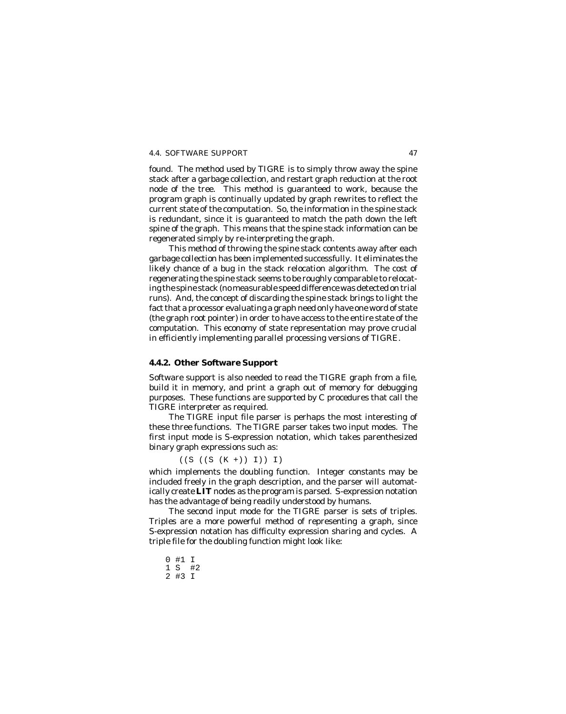#### 4.4. SOFTWARE SUPPORT 47

found. The method used by TIGRE is to simply throw away the spine stack after a garbage collection, and restart graph reduction at the root node of the tree. This method is guaranteed to work, because the program graph is continually updated by graph rewrites to reflect the current state of the computation. So, the information in the spine stack is redundant, since it is guaranteed to match the path down the left spine of the graph. This means that the spine stack information can be regenerated simply by re-interpreting the graph.

This method of throwing the spine stack contents away after each garbage collection has been implemented successfully. It eliminates the likely chance of a bug in the stack relocation algorithm. The cost of regenerating the spine stack seems to be roughly comparable to relocating the spine stack (no measurable speed difference was detected on trial runs). And, the concept of discarding the spine stack brings to light the fact that a processor evaluating a graph need only have one word of state (the graph root pointer) in order to have access to the entire state of the computation. This economy of state representation may prove crucial in efficiently implementing parallel processing versions of TIGRE.

# **4.4.2. Other Software Support**

Software support is also needed to read the TIGRE graph from a file, build it in memory, and print a graph out of memory for debugging purposes. These functions are supported by C procedures that call the TIGRE interpreter as required.

The TIGRE input file parser is perhaps the most interesting of these three functions. The TIGRE parser takes two input modes. The first input mode is S-expression notation, which takes parenthesized binary graph expressions such as:

((S ((S (K +)) I)) I)

which implements the doubling function. Integer constants may be included freely in the graph description, and the parser will automatically create **LIT** nodes as the program is parsed. S-expression notation has the advantage of being readily understood by humans.

The second input mode for the TIGRE parser is sets of triples. Triples are a more powerful method of representing a graph, since S-expression notation has difficulty expression sharing and cycles. A triple file for the doubling function might look like:

0 #1 I 1 S #2 2 #3 I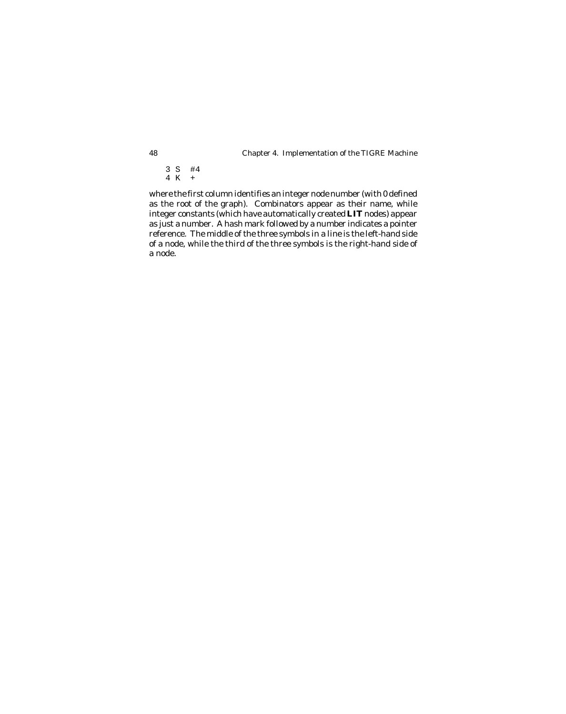3 S #4 4 K +

where the first column identifies an integer node number (with 0 defined as the root of the graph). Combinators appear as their name, while integer constants (which have automatically created **LIT** nodes) appear as just a number. A hash mark followed by a number indicates a pointer reference. The middle of the three symbols in a line is the left-hand side of a node, while the third of the three symbols is the right-hand side of a node.